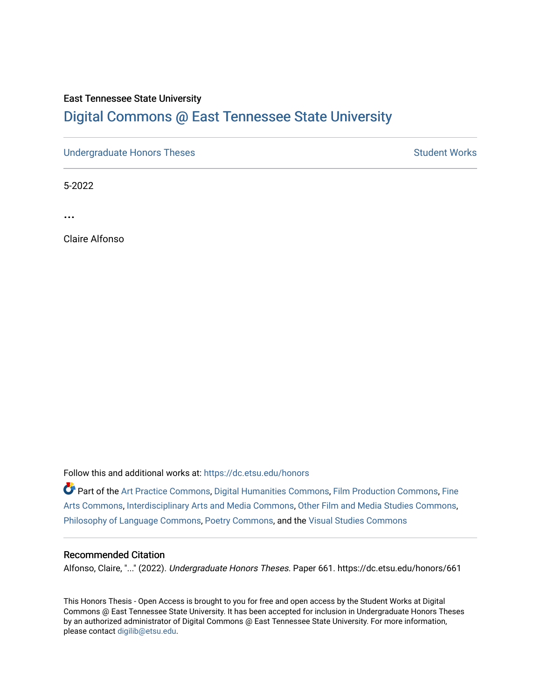# East Tennessee State University

# [Digital Commons @ East Tennessee State University](https://dc.etsu.edu/)

[Undergraduate Honors Theses](https://dc.etsu.edu/honors) Student Works

5-2022

...

Claire Alfonso

Follow this and additional works at: [https://dc.etsu.edu/honors](https://dc.etsu.edu/honors?utm_source=dc.etsu.edu%2Fhonors%2F661&utm_medium=PDF&utm_campaign=PDFCoverPages)

Part of the [Art Practice Commons](http://network.bepress.com/hgg/discipline/509?utm_source=dc.etsu.edu%2Fhonors%2F661&utm_medium=PDF&utm_campaign=PDFCoverPages), [Digital Humanities Commons,](http://network.bepress.com/hgg/discipline/1286?utm_source=dc.etsu.edu%2Fhonors%2F661&utm_medium=PDF&utm_campaign=PDFCoverPages) [Film Production Commons,](http://network.bepress.com/hgg/discipline/1290?utm_source=dc.etsu.edu%2Fhonors%2F661&utm_medium=PDF&utm_campaign=PDFCoverPages) [Fine](http://network.bepress.com/hgg/discipline/1141?utm_source=dc.etsu.edu%2Fhonors%2F661&utm_medium=PDF&utm_campaign=PDFCoverPages) [Arts Commons](http://network.bepress.com/hgg/discipline/1141?utm_source=dc.etsu.edu%2Fhonors%2F661&utm_medium=PDF&utm_campaign=PDFCoverPages), [Interdisciplinary Arts and Media Commons,](http://network.bepress.com/hgg/discipline/1137?utm_source=dc.etsu.edu%2Fhonors%2F661&utm_medium=PDF&utm_campaign=PDFCoverPages) [Other Film and Media Studies Commons,](http://network.bepress.com/hgg/discipline/565?utm_source=dc.etsu.edu%2Fhonors%2F661&utm_medium=PDF&utm_campaign=PDFCoverPages) [Philosophy of Language Commons,](http://network.bepress.com/hgg/discipline/534?utm_source=dc.etsu.edu%2Fhonors%2F661&utm_medium=PDF&utm_campaign=PDFCoverPages) [Poetry Commons](http://network.bepress.com/hgg/discipline/1153?utm_source=dc.etsu.edu%2Fhonors%2F661&utm_medium=PDF&utm_campaign=PDFCoverPages), and the [Visual Studies Commons](http://network.bepress.com/hgg/discipline/564?utm_source=dc.etsu.edu%2Fhonors%2F661&utm_medium=PDF&utm_campaign=PDFCoverPages) 

# Recommended Citation

Alfonso, Claire, "..." (2022). Undergraduate Honors Theses. Paper 661. https://dc.etsu.edu/honors/661

This Honors Thesis - Open Access is brought to you for free and open access by the Student Works at Digital Commons @ East Tennessee State University. It has been accepted for inclusion in Undergraduate Honors Theses by an authorized administrator of Digital Commons @ East Tennessee State University. For more information, please contact [digilib@etsu.edu.](mailto:digilib@etsu.edu)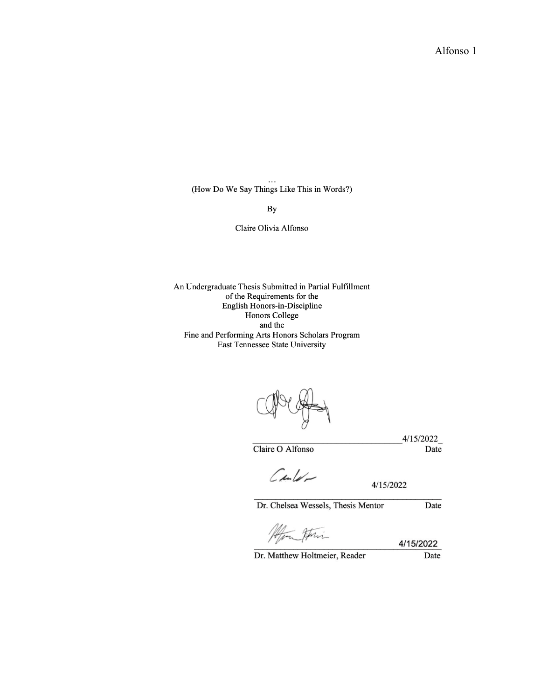Alfonso 1

(How Do We Say Things Like This in Words?)

 $By$ 

Claire Olivia Alfonso

An Undergraduate Thesis Submitted in Partial Fulfillment of the Requirements for the English Honors-in-Discipline Honors College and the Fine and Performing Arts Honors Scholars Program East Tennessee State University

 $-4/15/2022$ 

Claire O Alfonso

Date

 $\mathcal{C}$ dulation

4/15/2022

Dr. Chelsea Wessels, Thesis Mentor

Afin Atri

4/15/2022

Dr. Matthew Holtmeier, Reader

Date

Date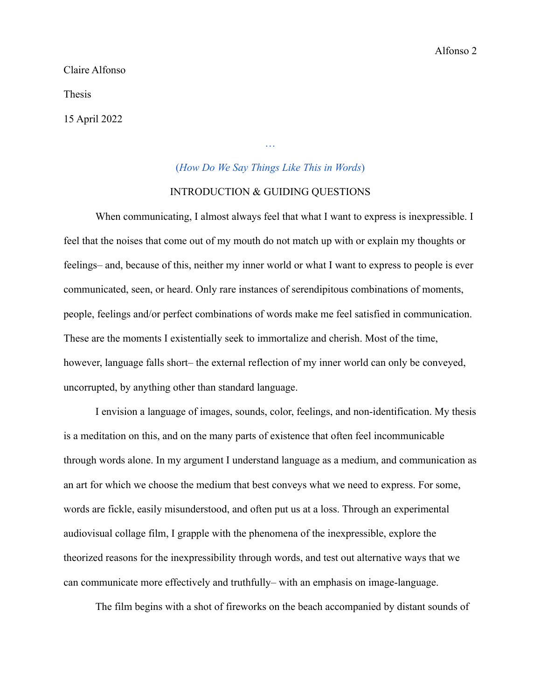Claire Alfonso

Thesis

15 April 2022

# (*[How Do We Say Things Like This in Words](https://drive.google.com/drive/folders/1fWqoot5D0EWWzaNaq9vtLvR5xVsdEsf9?usp=sharing)*)

[…](https://drive.google.com/drive/folders/1fWqoot5D0EWWzaNaq9vtLvR5xVsdEsf9?usp=sharing)

# INTRODUCTION & GUIDING QUESTIONS

When communicating, I almost always feel that what I want to express is inexpressible. I feel that the noises that come out of my mouth do not match up with or explain my thoughts or feelings– and, because of this, neither my inner world or what I want to express to people is ever communicated, seen, or heard. Only rare instances of serendipitous combinations of moments, people, feelings and/or perfect combinations of words make me feel satisfied in communication. These are the moments I existentially seek to immortalize and cherish. Most of the time, however, language falls short– the external reflection of my inner world can only be conveyed, uncorrupted, by anything other than standard language.

I envision a language of images, sounds, color, feelings, and non-identification. My thesis is a meditation on this, and on the many parts of existence that often feel incommunicable through words alone. In my argument I understand language as a medium, and communication as an art for which we choose the medium that best conveys what we need to express. For some, words are fickle, easily misunderstood, and often put us at a loss. Through an experimental audiovisual collage film, I grapple with the phenomena of the inexpressible, explore the theorized reasons for the inexpressibility through words, and test out alternative ways that we can communicate more effectively and truthfully– with an emphasis on image-language.

The film begins with a shot of fireworks on the beach accompanied by distant sounds of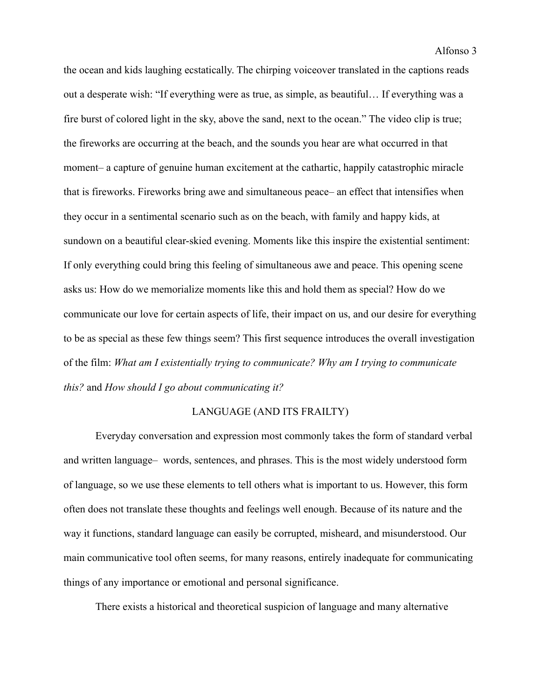the ocean and kids laughing ecstatically. The chirping voiceover translated in the captions reads out a desperate wish: "If everything were as true, as simple, as beautiful… If everything was a fire burst of colored light in the sky, above the sand, next to the ocean." The video clip is true; the fireworks are occurring at the beach, and the sounds you hear are what occurred in that moment– a capture of genuine human excitement at the cathartic, happily catastrophic miracle that is fireworks. Fireworks bring awe and simultaneous peace– an effect that intensifies when they occur in a sentimental scenario such as on the beach, with family and happy kids, at sundown on a beautiful clear-skied evening. Moments like this inspire the existential sentiment: If only everything could bring this feeling of simultaneous awe and peace. This opening scene asks us: How do we memorialize moments like this and hold them as special? How do we communicate our love for certain aspects of life, their impact on us, and our desire for everything to be as special as these few things seem? This first sequence introduces the overall investigation of the film: *What am I existentially trying to communicate? Why am I trying to communicate this?* and *How should I go about communicating it?*

# LANGUAGE (AND ITS FRAILTY)

Everyday conversation and expression most commonly takes the form of standard verbal and written language– words, sentences, and phrases. This is the most widely understood form of language, so we use these elements to tell others what is important to us. However, this form often does not translate these thoughts and feelings well enough. Because of its nature and the way it functions, standard language can easily be corrupted, misheard, and misunderstood. Our main communicative tool often seems, for many reasons, entirely inadequate for communicating things of any importance or emotional and personal significance.

There exists a historical and theoretical suspicion of language and many alternative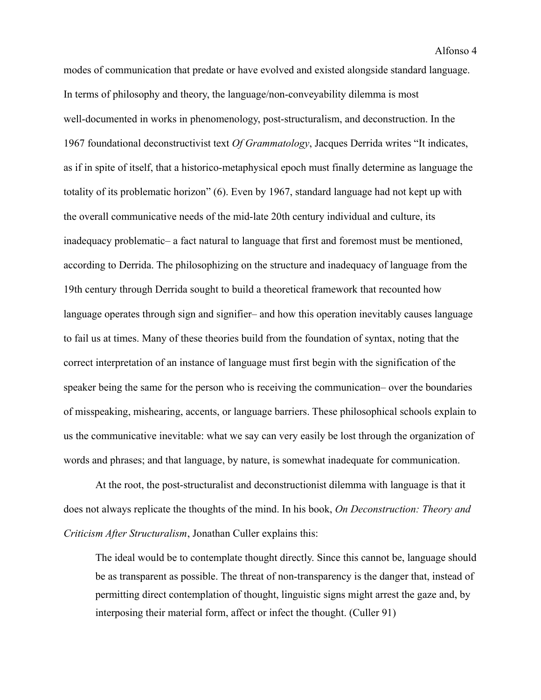modes of communication that predate or have evolved and existed alongside standard language. In terms of philosophy and theory, the language/non-conveyability dilemma is most well-documented in works in phenomenology, post-structuralism, and deconstruction. In the 1967 foundational deconstructivist text *Of Grammatology*, Jacques Derrida writes "It indicates, as if in spite of itself, that a historico-metaphysical epoch must finally determine as language the totality of its problematic horizon" (6). Even by 1967, standard language had not kept up with the overall communicative needs of the mid-late 20th century individual and culture, its inadequacy problematic– a fact natural to language that first and foremost must be mentioned, according to Derrida. The philosophizing on the structure and inadequacy of language from the 19th century through Derrida sought to build a theoretical framework that recounted how language operates through sign and signifier– and how this operation inevitably causes language to fail us at times. Many of these theories build from the foundation of syntax, noting that the correct interpretation of an instance of language must first begin with the signification of the speaker being the same for the person who is receiving the communication– over the boundaries of misspeaking, mishearing, accents, or language barriers. These philosophical schools explain to us the communicative inevitable: what we say can very easily be lost through the organization of words and phrases; and that language, by nature, is somewhat inadequate for communication.

At the root, the post-structuralist and deconstructionist dilemma with language is that it does not always replicate the thoughts of the mind. In his book, *On Deconstruction: Theory and Criticism After Structuralism*, Jonathan Culler explains this:

The ideal would be to contemplate thought directly. Since this cannot be, language should be as transparent as possible. The threat of non-transparency is the danger that, instead of permitting direct contemplation of thought, linguistic signs might arrest the gaze and, by interposing their material form, affect or infect the thought. (Culler 91)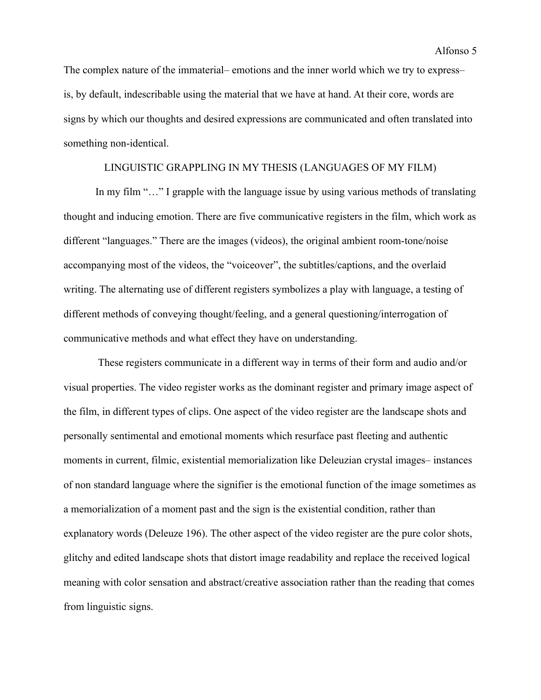The complex nature of the immaterial– emotions and the inner world which we try to express– is, by default, indescribable using the material that we have at hand. At their core, words are signs by which our thoughts and desired expressions are communicated and often translated into something non-identical.

# LINGUISTIC GRAPPLING IN MY THESIS (LANGUAGES OF MY FILM)

In my film "..." I grapple with the language issue by using various methods of translating thought and inducing emotion. There are five communicative registers in the film, which work as different "languages." There are the images (videos), the original ambient room-tone/noise accompanying most of the videos, the "voiceover", the subtitles/captions, and the overlaid writing. The alternating use of different registers symbolizes a play with language, a testing of different methods of conveying thought/feeling, and a general questioning/interrogation of communicative methods and what effect they have on understanding.

These registers communicate in a different way in terms of their form and audio and/or visual properties. The video register works as the dominant register and primary image aspect of the film, in different types of clips. One aspect of the video register are the landscape shots and personally sentimental and emotional moments which resurface past fleeting and authentic moments in current, filmic, existential memorialization like Deleuzian crystal images– instances of non standard language where the signifier is the emotional function of the image sometimes as a memorialization of a moment past and the sign is the existential condition, rather than explanatory words (Deleuze 196). The other aspect of the video register are the pure color shots, glitchy and edited landscape shots that distort image readability and replace the received logical meaning with color sensation and abstract/creative association rather than the reading that comes from linguistic signs.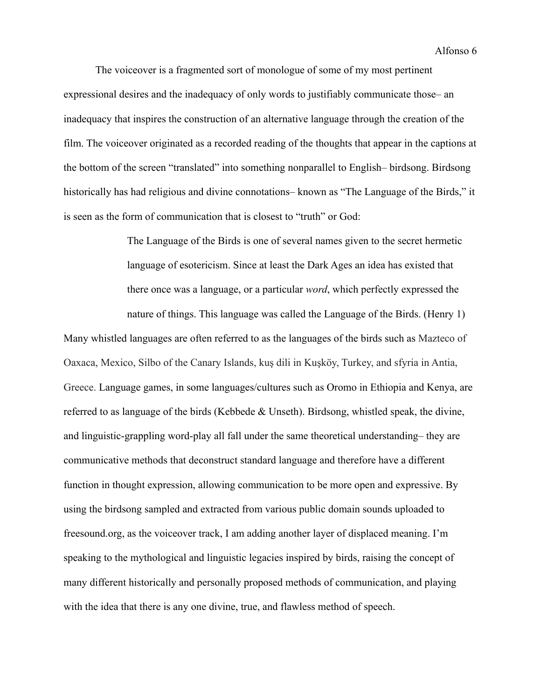The voiceover is a fragmented sort of monologue of some of my most pertinent expressional desires and the inadequacy of only words to justifiably communicate those– an inadequacy that inspires the construction of an alternative language through the creation of the film. The voiceover originated as a recorded reading of the thoughts that appear in the captions at the bottom of the screen "translated" into something nonparallel to English– birdsong. Birdsong historically has had religious and divine connotations– known as "The Language of the Birds," it is seen as the form of communication that is closest to "truth" or God:

> The Language of the Birds is one of several names given to the secret hermetic language of esotericism. Since at least the Dark Ages an idea has existed that there once was a language, or a particular *word*, which perfectly expressed the nature of things. This language was called the Language of the Birds. (Henry 1)

Many whistled languages are often referred to as the languages of the birds such as Mazteco of Oaxaca, Mexico, Silbo of the Canary Islands, kuş dili in Kuşköy, Turkey, and sfyria in Antia, Greece. Language games, in some languages/cultures such as Oromo in Ethiopia and Kenya, are referred to as language of the birds (Kebbede & Unseth). Birdsong, whistled speak, the divine, and linguistic-grappling word-play all fall under the same theoretical understanding– they are communicative methods that deconstruct standard language and therefore have a different function in thought expression, allowing communication to be more open and expressive. By using the birdsong sampled and extracted from various public domain sounds uploaded to freesound.org, as the voiceover track, I am adding another layer of displaced meaning. I'm speaking to the mythological and linguistic legacies inspired by birds, raising the concept of many different historically and personally proposed methods of communication, and playing with the idea that there is any one divine, true, and flawless method of speech.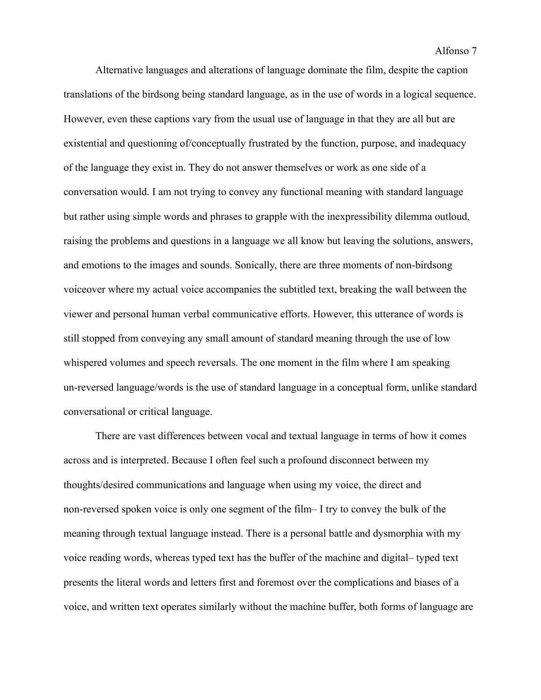Alternative languages and alterations of language dominate the film, despite the caption translations of the birdsong being standard language, as in the use of words in a logical sequence. However, even these captions vary from the usual use of language in that they are all but are existential and questioning of/conceptually frustrated by the function, purpose, and inadequacy of the language they exist in. They do not answer themselves or work as one side of a conversation would. I am not trying to convey any functional meaning with standard language but rather using simple words and phrases to grapple with the inexpressibility dilemma outloud, raising the problems and questions in a language we all know but leaving the solutions, answers, and emotions to the images and sounds. Sonically, there are three moments of non-birdsong voiceover where my actual voice accompanies the subtitled text, breaking the wall between the viewer and personal human verbal communicative efforts. However, this utterance of words is still stopped from conveying any small amount of standard meaning through the use of low whispered volumes and speech reversals. The one moment in the film where I am speaking un-reversed language/words is the use of standard language in a conceptual form, unlike standard conversational or critical language.

There are vast differences between vocal and textual language in terms of how it comes across and is interpreted. Because I often feel such a profound disconnect between my thoughts/desired communications and language when using my voice, the direct and non-reversed spoken voice is only one segment of the film– I try to convey the bulk of the meaning through textual language instead. There is a personal battle and dysmorphia with my voice reading words, whereas typed text has the buffer of the machine and digital– typed text presents the literal words and letters first and foremost over the complications and biases of a voice, and written text operates similarly without the machine buffer, both forms of language are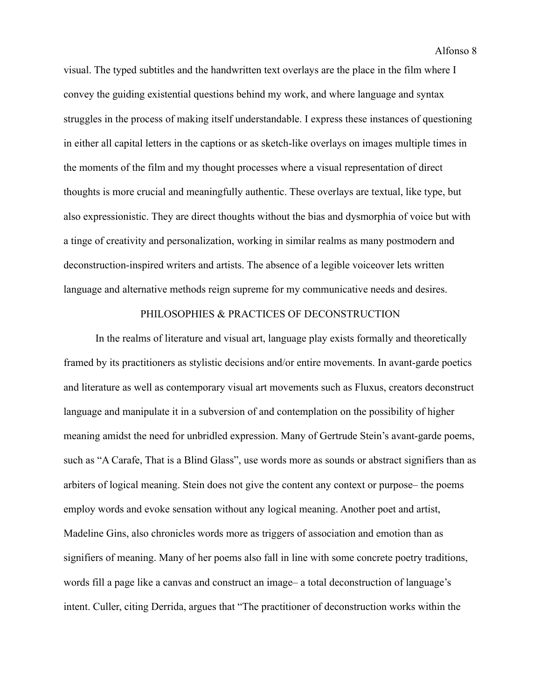Alfonso 8

visual. The typed subtitles and the handwritten text overlays are the place in the film where I convey the guiding existential questions behind my work, and where language and syntax struggles in the process of making itself understandable. I express these instances of questioning in either all capital letters in the captions or as sketch-like overlays on images multiple times in the moments of the film and my thought processes where a visual representation of direct thoughts is more crucial and meaningfully authentic. These overlays are textual, like type, but also expressionistic. They are direct thoughts without the bias and dysmorphia of voice but with a tinge of creativity and personalization, working in similar realms as many postmodern and deconstruction-inspired writers and artists. The absence of a legible voiceover lets written language and alternative methods reign supreme for my communicative needs and desires.

# PHILOSOPHIES & PRACTICES OF DECONSTRUCTION

In the realms of literature and visual art, language play exists formally and theoretically framed by its practitioners as stylistic decisions and/or entire movements. In avant-garde poetics and literature as well as contemporary visual art movements such as Fluxus, creators deconstruct language and manipulate it in a subversion of and contemplation on the possibility of higher meaning amidst the need for unbridled expression. Many of Gertrude Stein's avant-garde poems, such as "A Carafe, That is a Blind Glass", use words more as sounds or abstract signifiers than as arbiters of logical meaning. Stein does not give the content any context or purpose– the poems employ words and evoke sensation without any logical meaning. Another poet and artist, Madeline Gins, also chronicles words more as triggers of association and emotion than as signifiers of meaning. Many of her poems also fall in line with some concrete poetry traditions, words fill a page like a canvas and construct an image– a total deconstruction of language's intent. Culler, citing Derrida, argues that "The practitioner of deconstruction works within the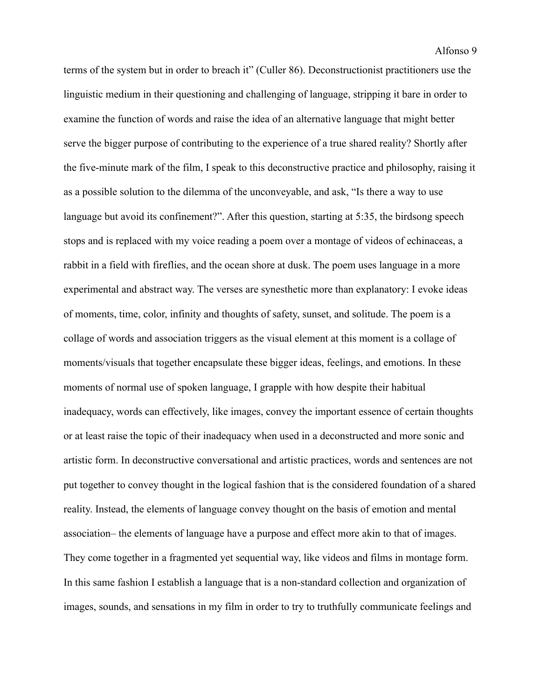terms of the system but in order to breach it" (Culler 86). Deconstructionist practitioners use the linguistic medium in their questioning and challenging of language, stripping it bare in order to examine the function of words and raise the idea of an alternative language that might better serve the bigger purpose of contributing to the experience of a true shared reality? Shortly after the five-minute mark of the film, I speak to this deconstructive practice and philosophy, raising it as a possible solution to the dilemma of the unconveyable, and ask, "Is there a way to use language but avoid its confinement?". After this question, starting at 5:35, the birdsong speech stops and is replaced with my voice reading a poem over a montage of videos of echinaceas, a rabbit in a field with fireflies, and the ocean shore at dusk. The poem uses language in a more experimental and abstract way. The verses are synesthetic more than explanatory: I evoke ideas of moments, time, color, infinity and thoughts of safety, sunset, and solitude. The poem is a collage of words and association triggers as the visual element at this moment is a collage of moments/visuals that together encapsulate these bigger ideas, feelings, and emotions. In these moments of normal use of spoken language, I grapple with how despite their habitual inadequacy, words can effectively, like images, convey the important essence of certain thoughts or at least raise the topic of their inadequacy when used in a deconstructed and more sonic and artistic form. In deconstructive conversational and artistic practices, words and sentences are not put together to convey thought in the logical fashion that is the considered foundation of a shared reality. Instead, the elements of language convey thought on the basis of emotion and mental association– the elements of language have a purpose and effect more akin to that of images. They come together in a fragmented yet sequential way, like videos and films in montage form. In this same fashion I establish a language that is a non-standard collection and organization of images, sounds, and sensations in my film in order to try to truthfully communicate feelings and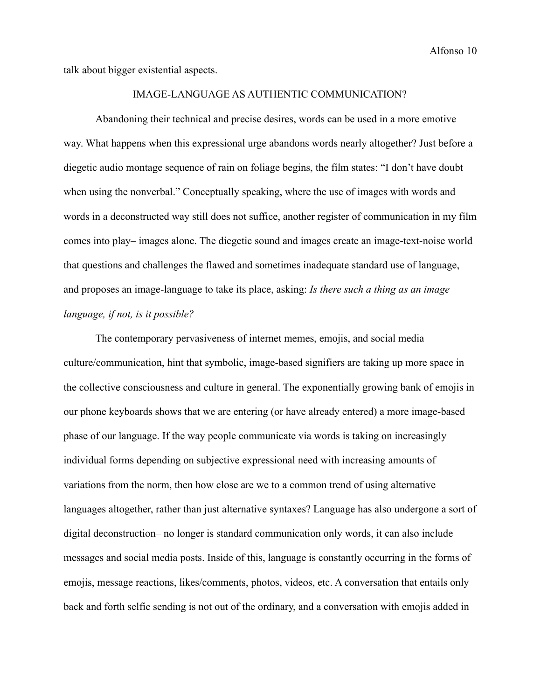talk about bigger existential aspects.

# IMAGE-LANGUAGE AS AUTHENTIC COMMUNICATION?

Abandoning their technical and precise desires, words can be used in a more emotive way. What happens when this expressional urge abandons words nearly altogether? Just before a diegetic audio montage sequence of rain on foliage begins, the film states: "I don't have doubt when using the nonverbal." Conceptually speaking, where the use of images with words and words in a deconstructed way still does not suffice, another register of communication in my film comes into play– images alone. The diegetic sound and images create an image-text-noise world that questions and challenges the flawed and sometimes inadequate standard use of language, and proposes an image-language to take its place, asking: *Is there such a thing as an image language, if not, is it possible?*

The contemporary pervasiveness of internet memes, emojis, and social media culture/communication, hint that symbolic, image-based signifiers are taking up more space in the collective consciousness and culture in general. The exponentially growing bank of emojis in our phone keyboards shows that we are entering (or have already entered) a more image-based phase of our language. If the way people communicate via words is taking on increasingly individual forms depending on subjective expressional need with increasing amounts of variations from the norm, then how close are we to a common trend of using alternative languages altogether, rather than just alternative syntaxes? Language has also undergone a sort of digital deconstruction– no longer is standard communication only words, it can also include messages and social media posts. Inside of this, language is constantly occurring in the forms of emojis, message reactions, likes/comments, photos, videos, etc. A conversation that entails only back and forth selfie sending is not out of the ordinary, and a conversation with emojis added in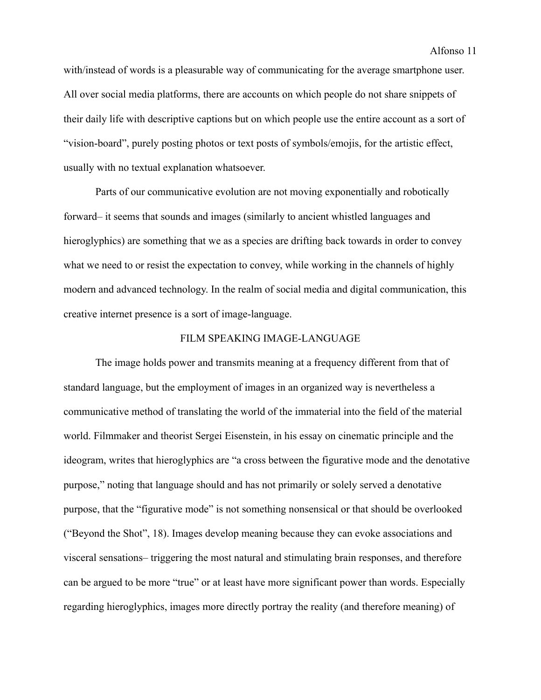with/instead of words is a pleasurable way of communicating for the average smartphone user. All over social media platforms, there are accounts on which people do not share snippets of their daily life with descriptive captions but on which people use the entire account as a sort of "vision-board", purely posting photos or text posts of symbols/emojis, for the artistic effect, usually with no textual explanation whatsoever.

Parts of our communicative evolution are not moving exponentially and robotically forward– it seems that sounds and images (similarly to ancient whistled languages and hieroglyphics) are something that we as a species are drifting back towards in order to convey what we need to or resist the expectation to convey, while working in the channels of highly modern and advanced technology. In the realm of social media and digital communication, this creative internet presence is a sort of image-language.

# FILM SPEAKING IMAGE-LANGUAGE

The image holds power and transmits meaning at a frequency different from that of standard language, but the employment of images in an organized way is nevertheless a communicative method of translating the world of the immaterial into the field of the material world. Filmmaker and theorist Sergei Eisenstein, in his essay on cinematic principle and the ideogram, writes that hieroglyphics are "a cross between the figurative mode and the denotative purpose," noting that language should and has not primarily or solely served a denotative purpose, that the "figurative mode" is not something nonsensical or that should be overlooked ("Beyond the Shot", 18). Images develop meaning because they can evoke associations and visceral sensations– triggering the most natural and stimulating brain responses, and therefore can be argued to be more "true" or at least have more significant power than words. Especially regarding hieroglyphics, images more directly portray the reality (and therefore meaning) of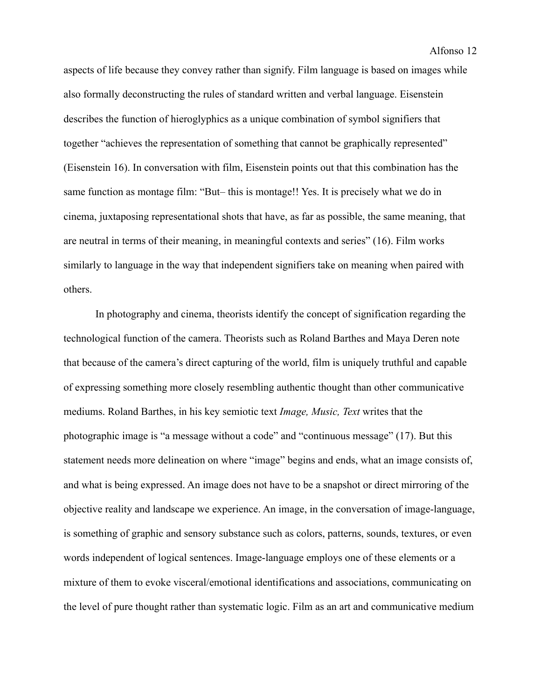aspects of life because they convey rather than signify. Film language is based on images while also formally deconstructing the rules of standard written and verbal language. Eisenstein describes the function of hieroglyphics as a unique combination of symbol signifiers that together "achieves the representation of something that cannot be graphically represented" (Eisenstein 16). In conversation with film, Eisenstein points out that this combination has the same function as montage film: "But– this is montage!! Yes. It is precisely what we do in cinema, juxtaposing representational shots that have, as far as possible, the same meaning, that are neutral in terms of their meaning, in meaningful contexts and series" (16). Film works similarly to language in the way that independent signifiers take on meaning when paired with others.

In photography and cinema, theorists identify the concept of signification regarding the technological function of the camera. Theorists such as Roland Barthes and Maya Deren note that because of the camera's direct capturing of the world, film is uniquely truthful and capable of expressing something more closely resembling authentic thought than other communicative mediums. Roland Barthes, in his key semiotic text *Image, Music, Text* writes that the photographic image is "a message without a code" and "continuous message" (17). But this statement needs more delineation on where "image" begins and ends, what an image consists of, and what is being expressed. An image does not have to be a snapshot or direct mirroring of the objective reality and landscape we experience. An image, in the conversation of image-language, is something of graphic and sensory substance such as colors, patterns, sounds, textures, or even words independent of logical sentences. Image-language employs one of these elements or a mixture of them to evoke visceral/emotional identifications and associations, communicating on the level of pure thought rather than systematic logic. Film as an art and communicative medium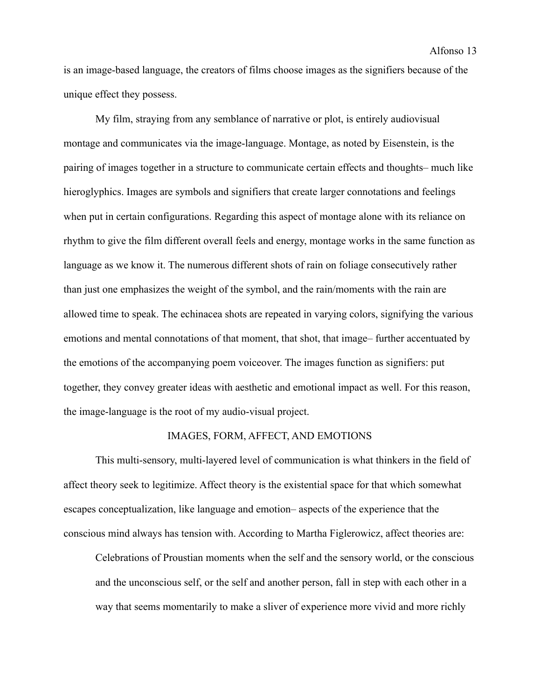is an image-based language, the creators of films choose images as the signifiers because of the unique effect they possess.

My film, straying from any semblance of narrative or plot, is entirely audiovisual montage and communicates via the image-language. Montage, as noted by Eisenstein, is the pairing of images together in a structure to communicate certain effects and thoughts– much like hieroglyphics. Images are symbols and signifiers that create larger connotations and feelings when put in certain configurations. Regarding this aspect of montage alone with its reliance on rhythm to give the film different overall feels and energy, montage works in the same function as language as we know it. The numerous different shots of rain on foliage consecutively rather than just one emphasizes the weight of the symbol, and the rain/moments with the rain are allowed time to speak. The echinacea shots are repeated in varying colors, signifying the various emotions and mental connotations of that moment, that shot, that image– further accentuated by the emotions of the accompanying poem voiceover. The images function as signifiers: put together, they convey greater ideas with aesthetic and emotional impact as well. For this reason, the image-language is the root of my audio-visual project.

# IMAGES, FORM, AFFECT, AND EMOTIONS

This multi-sensory, multi-layered level of communication is what thinkers in the field of affect theory seek to legitimize. Affect theory is the existential space for that which somewhat escapes conceptualization, like language and emotion– aspects of the experience that the conscious mind always has tension with. According to Martha Figlerowicz, affect theories are:

Celebrations of Proustian moments when the self and the sensory world, or the conscious and the unconscious self, or the self and another person, fall in step with each other in a way that seems momentarily to make a sliver of experience more vivid and more richly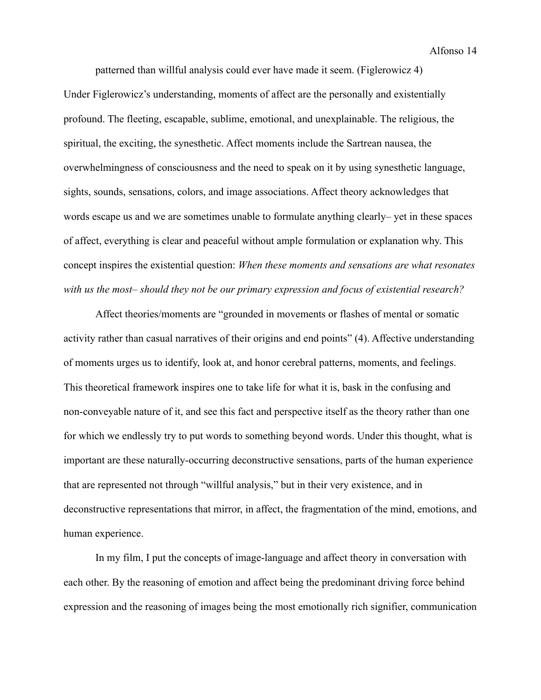Alfonso 14

patterned than willful analysis could ever have made it seem. (Figlerowicz 4)

Under Figlerowicz's understanding, moments of affect are the personally and existentially profound. The fleeting, escapable, sublime, emotional, and unexplainable. The religious, the spiritual, the exciting, the synesthetic. Affect moments include the Sartrean nausea, the overwhelmingness of consciousness and the need to speak on it by using synesthetic language, sights, sounds, sensations, colors, and image associations. Affect theory acknowledges that words escape us and we are sometimes unable to formulate anything clearly– yet in these spaces of affect, everything is clear and peaceful without ample formulation or explanation why. This concept inspires the existential question: *When these moments and sensations are what resonates with us the most– should they not be our primary expression and focus of existential research?*

Affect theories/moments are "grounded in movements or flashes of mental or somatic activity rather than casual narratives of their origins and end points" (4). Affective understanding of moments urges us to identify, look at, and honor cerebral patterns, moments, and feelings. This theoretical framework inspires one to take life for what it is, bask in the confusing and non-conveyable nature of it, and see this fact and perspective itself as the theory rather than one for which we endlessly try to put words to something beyond words. Under this thought, what is important are these naturally-occurring deconstructive sensations, parts of the human experience that are represented not through "willful analysis," but in their very existence, and in deconstructive representations that mirror, in affect, the fragmentation of the mind, emotions, and human experience.

In my film, I put the concepts of image-language and affect theory in conversation with each other. By the reasoning of emotion and affect being the predominant driving force behind expression and the reasoning of images being the most emotionally rich signifier, communication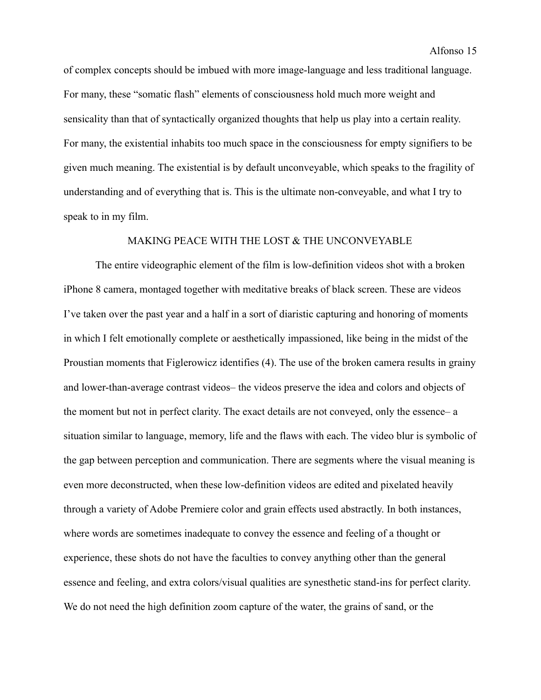of complex concepts should be imbued with more image-language and less traditional language. For many, these "somatic flash" elements of consciousness hold much more weight and sensicality than that of syntactically organized thoughts that help us play into a certain reality. For many, the existential inhabits too much space in the consciousness for empty signifiers to be given much meaning. The existential is by default unconveyable, which speaks to the fragility of understanding and of everything that is. This is the ultimate non-conveyable, and what I try to speak to in my film.

# MAKING PEACE WITH THE LOST & THE UNCONVEYABLE

The entire videographic element of the film is low-definition videos shot with a broken iPhone 8 camera, montaged together with meditative breaks of black screen. These are videos I've taken over the past year and a half in a sort of diaristic capturing and honoring of moments in which I felt emotionally complete or aesthetically impassioned, like being in the midst of the Proustian moments that Figlerowicz identifies (4). The use of the broken camera results in grainy and lower-than-average contrast videos– the videos preserve the idea and colors and objects of the moment but not in perfect clarity. The exact details are not conveyed, only the essence– a situation similar to language, memory, life and the flaws with each. The video blur is symbolic of the gap between perception and communication. There are segments where the visual meaning is even more deconstructed, when these low-definition videos are edited and pixelated heavily through a variety of Adobe Premiere color and grain effects used abstractly. In both instances, where words are sometimes inadequate to convey the essence and feeling of a thought or experience, these shots do not have the faculties to convey anything other than the general essence and feeling, and extra colors/visual qualities are synesthetic stand-ins for perfect clarity. We do not need the high definition zoom capture of the water, the grains of sand, or the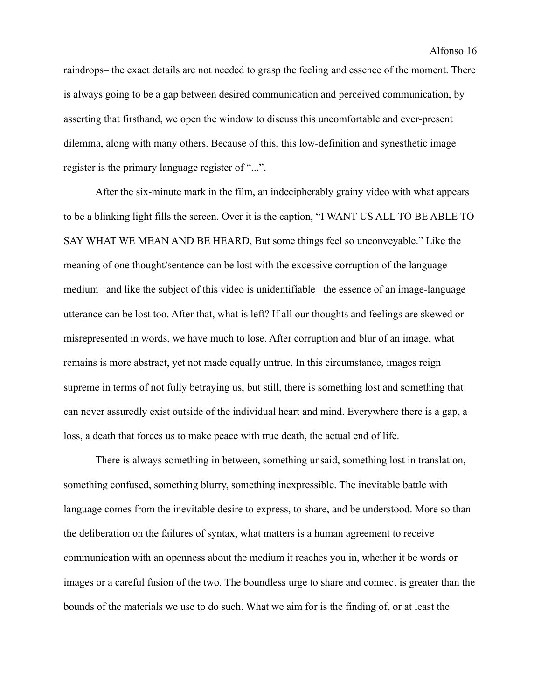raindrops– the exact details are not needed to grasp the feeling and essence of the moment. There is always going to be a gap between desired communication and perceived communication, by asserting that firsthand, we open the window to discuss this uncomfortable and ever-present dilemma, along with many others. Because of this, this low-definition and synesthetic image register is the primary language register of "...".

After the six-minute mark in the film, an indecipherably grainy video with what appears to be a blinking light fills the screen. Over it is the caption, "I WANT US ALL TO BE ABLE TO SAY WHAT WE MEAN AND BE HEARD, But some things feel so unconveyable." Like the meaning of one thought/sentence can be lost with the excessive corruption of the language medium– and like the subject of this video is unidentifiable– the essence of an image-language utterance can be lost too. After that, what is left? If all our thoughts and feelings are skewed or misrepresented in words, we have much to lose. After corruption and blur of an image, what remains is more abstract, yet not made equally untrue. In this circumstance, images reign supreme in terms of not fully betraying us, but still, there is something lost and something that can never assuredly exist outside of the individual heart and mind. Everywhere there is a gap, a loss, a death that forces us to make peace with true death, the actual end of life.

There is always something in between, something unsaid, something lost in translation, something confused, something blurry, something inexpressible. The inevitable battle with language comes from the inevitable desire to express, to share, and be understood. More so than the deliberation on the failures of syntax, what matters is a human agreement to receive communication with an openness about the medium it reaches you in, whether it be words or images or a careful fusion of the two. The boundless urge to share and connect is greater than the bounds of the materials we use to do such. What we aim for is the finding of, or at least the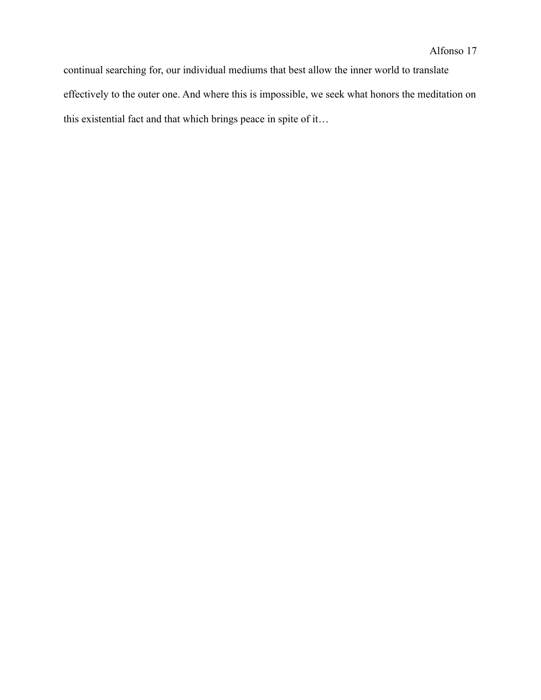continual searching for, our individual mediums that best allow the inner world to translate effectively to the outer one. And where this is impossible, we seek what honors the meditation on this existential fact and that which brings peace in spite of it…